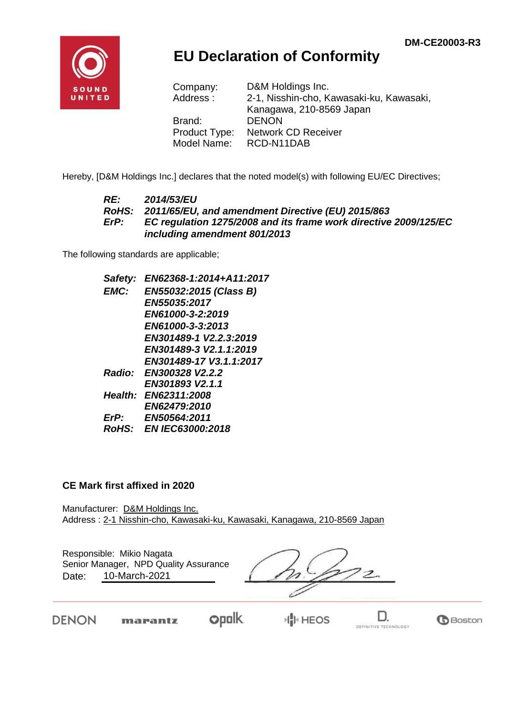

## **EU Declaration of Conformity**

| Company:      | D&M Holdings Inc.                        |
|---------------|------------------------------------------|
| Address:      | 2-1, Nisshin-cho, Kawasaki-ku, Kawasaki, |
|               | Kanagawa, 210-8569 Japan                 |
| Brand:        | <b>DENON</b>                             |
| Product Type: | <b>Network CD Receiver</b>               |
| Model Name:   | RCD-N11DAB                               |

Hereby, [D&M Holdings Inc.] declares that the noted model(s) with following EU/EC Directives;

#### *RE: 2014/53/EU RoHS: 2011/65/EU, and amendment Directive (EU) 2015/863 ErP: EC regulation 1275/2008 and its frame work directive 2009/125/EC including amendment 801/2013*

The following standards are applicable;

*Safety: EN62368-1:2014+A11:2017 EMC: EN55032:2015 (Class B) EN55035:2017 EN61000-3-2:2019 EN61000-3-3:2013 EN301489-1 V2.2.3:2019 EN301489-3 V2.1.1:2019 EN301489-17 V3.1.1:2017 Radio: EN300328 V2.2.2 EN301893 V2.1.1 Health: EN62311:2008 EN62479:2010 ErP: EN50564:2011 RoHS: EN IEC63000:2018*

#### **CE Mark first affixed in 2020**

Manufacturer: D&M Holdings Inc. Address : 2-1 Nisshin-cho, Kawasaki-ku, Kawasaki, Kanagawa, 210-8569 Japan

Responsible: Mikio Nagata Date: 10-March-2021 Senior Manager, NPD Quality Assurance

 $\overline{\mathcal{Z}}$ 

**DENON** 

**opolk** marantz

D. DEFINITIVE TECHNOLOGY

**B**Boston